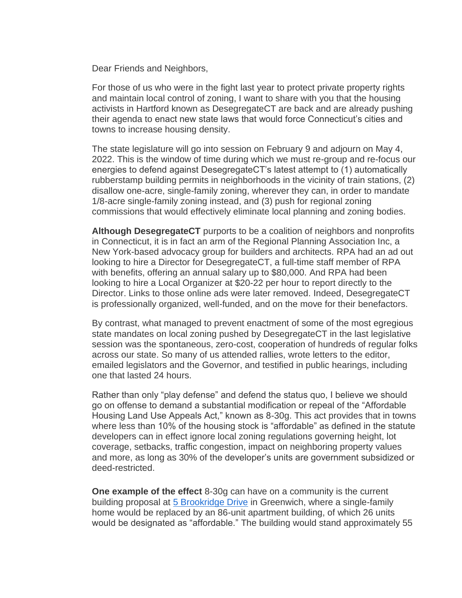Dear Friends and Neighbors,

For those of us who were in the fight last year to protect private property rights and maintain local control of zoning, I want to share with you that the housing activists in Hartford known as DesegregateCT are back and are already pushing their agenda to enact new state laws that would force Connecticut's cities and towns to increase housing density.

The state legislature will go into session on February 9 and adjourn on May 4, 2022. This is the window of time during which we must re-group and re-focus our energies to defend against DesegregateCT's latest attempt to (1) automatically rubberstamp building permits in neighborhoods in the vicinity of train stations, (2) disallow one-acre, single-family zoning, wherever they can, in order to mandate 1/8-acre single-family zoning instead, and (3) push for regional zoning commissions that would effectively eliminate local planning and zoning bodies.

**Although DesegregateCT** purports to be a coalition of neighbors and nonprofits in Connecticut, it is in fact an arm of the Regional Planning Association Inc, a New York-based advocacy group for builders and architects. RPA had an ad out looking to hire a Director for DesegregateCT, a full-time staff member of RPA with benefits, offering an annual salary up to \$80,000. And RPA had been looking to hire a Local Organizer at \$20-22 per hour to report directly to the Director. Links to those online ads were later removed. Indeed, DesegregateCT is professionally organized, well-funded, and on the move for their benefactors.

By contrast, what managed to prevent enactment of some of the most egregious state mandates on local zoning pushed by DesegregateCT in the last legislative session was the spontaneous, zero-cost, cooperation of hundreds of regular folks across our state. So many of us attended rallies, wrote letters to the editor, emailed legislators and the Governor, and testified in public hearings, including one that lasted 24 hours.

Rather than only "play defense" and defend the status quo, I believe we should go on offense to demand a substantial modification or repeal of the "Affordable Housing Land Use Appeals Act," known as 8-30g. This act provides that in towns where less than 10% of the housing stock is "affordable" as defined in the statute developers can in effect ignore local zoning regulations governing height, lot coverage, setbacks, traffic congestion, impact on neighboring property values and more, as long as 30% of the developer's units are government subsidized or deed-restricted.

**One example of the effect** 8-30g can have on a community is the current building proposal at [5 Brookridge Drive](https://click.icptrack.com/icp/relay.php?r=103739014&msgid=1208638&act=5022&c=373633&destination=https%3A%2F%2Fwww.google.com%2Fmaps%2Fplace%2F5%2BBrookridge%2BDr%2C%2BGreenwich%2C%2BCT%2B06830%2F%4041.0372412%2C-73.6083197%2C213m%2Fdata%3D%213m1%211e3%214m5%213m4%211s0x89c2986040cac931%3A0x498fad26000a4287%218m2%213d41.0376107%214d-73.6080933&cf=150120&v=753afd0601501de6f6018c53f66aa896458eb33960ed95932361bb61addf2923) in Greenwich, where a single-family home would be replaced by an 86-unit apartment building, of which 26 units would be designated as "affordable." The building would stand approximately 55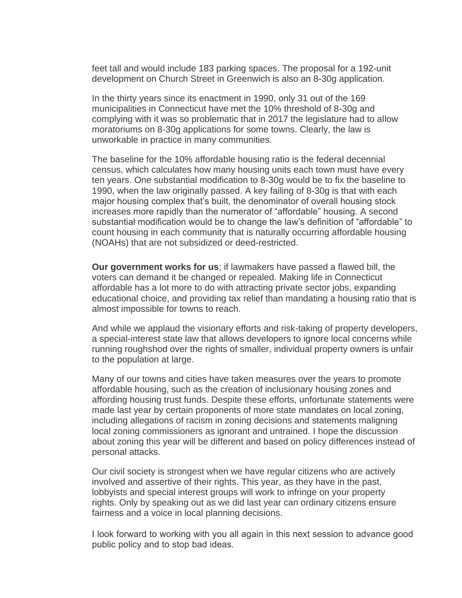feet tall and would include 183 parking spaces. The proposal for a 192-unit development on Church Street in Greenwich is also an 8-30g application.

In the thirty years since its enactment in 1990, only 31 out of the 169 municipalities in Connecticut have met the 10% threshold of 8-30g and complying with it was so problematic that in 2017 the legislature had to allow moratoriums on 8-30g applications for some towns. Clearly, the law is unworkable in practice in many communities.

The baseline for the 10% affordable housing ratio is the federal decennial census, which calculates how many housing units each town must have every ten years. One substantial modification to 8-30g would be to fix the baseline to 1990, when the law originally passed. A key failing of 8-30g is that with each major housing complex that's built, the denominator of overall housing stock increases more rapidly than the numerator of "affordable" housing. A second substantial modification would be to change the law's definition of "affordable" to count housing in each community that is naturally occurring affordable housing (NOAHs) that are not subsidized or deed-restricted.

**Our government works for us**; if lawmakers have passed a flawed bill, the voters can demand it be changed or repealed. Making life in Connecticut affordable has a lot more to do with attracting private sector jobs, expanding educational choice, and providing tax relief than mandating a housing ratio that is almost impossible for towns to reach.

And while we applaud the visionary efforts and risk-taking of property developers, a special-interest state law that allows developers to ignore local concerns while running roughshod over the rights of smaller, individual property owners is unfair to the population at large.

Many of our towns and cities have taken measures over the years to promote affordable housing, such as the creation of inclusionary housing zones and affording housing trust funds. Despite these efforts, unfortunate statements were made last year by certain proponents of more state mandates on local zoning, including allegations of racism in zoning decisions and statements maligning local zoning commissioners as ignorant and untrained. I hope the discussion about zoning this year will be different and based on policy differences instead of personal attacks.

Our civil society is strongest when we have regular citizens who are actively involved and assertive of their rights. This year, as they have in the past, lobbyists and special interest groups will work to infringe on your property rights. Only by speaking out as we did last year can ordinary citizens ensure fairness and a voice in local planning decisions.

I look forward to working with you all again in this next session to advance good public policy and to stop bad ideas.